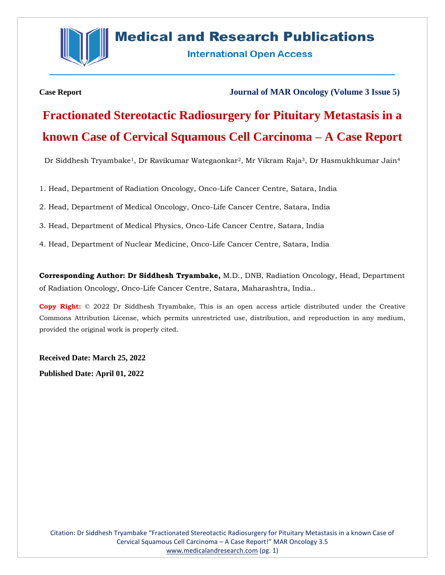

## **Medical and Research Publications**

**International Open Access** 

**Case Report Journal of MAR Oncology (Volume 3 Issue 5)**

# **Fractionated Stereotactic Radiosurgery for Pituitary Metastasis in a known Case of Cervical Squamous Cell Carcinoma – A Case Report**

Dr Siddhesh Tryambake1, Dr Ravikumar Wategaonkar2, Mr Vikram Raja3, Dr Hasmukhkumar Jain<sup>4</sup>

1. Head, Department of Radiation Oncology, Onco-Life Cancer Centre, Satara, India

2. Head, Department of Medical Oncology, Onco-Life Cancer Centre, Satara, India

3. Head, Department of Medical Physics, Onco-Life Cancer Centre, Satara, India

4. Head, Department of Nuclear Medicine, Onco-Life Cancer Centre, Satara, India

**Corresponding Author: Dr Siddhesh Tryambake,** M.D., DNB, Radiation Oncology, Head, Department of Radiation Oncology, Onco-Life Cancer Centre, Satara, Maharashtra, India..

**Copy Right:** © 2022 Dr Siddhesh Tryambake, This is an open access article distributed under the Creative Commons Attribution License, which permits unrestricted use, distribution, and reproduction in any medium, provided the original work is properly cited.

**Received Date: March 25, 2022 Published Date: April 01, 2022**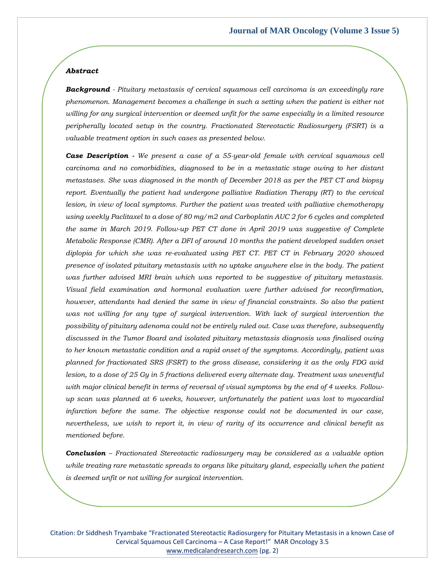### *Abstract*

*Background - Pituitary metastasis of cervical squamous cell carcinoma is an exceedingly rare phenomenon. Management becomes a challenge in such a setting when the patient is either not willing for any surgical intervention or deemed unfit for the same especially in a limited resource peripherally located setup in the country. Fractionated Stereotactic Radiosurgery (FSRT) is a valuable treatment option in such cases as presented below.*

*Case Description - We present a case of a 55-year-old female with cervical squamous cell carcinoma and no comorbidities, diagnosed to be in a metastatic stage owing to her distant metastases. She was diagnosed in the month of December 2018 as per the PET CT and biopsy report. Eventually the patient had undergone palliative Radiation Therapy (RT) to the cervical lesion, in view of local symptoms. Further the patient was treated with palliative chemotherapy using weekly Paclitaxel to a dose of 80 mg/m2 and Carboplatin AUC 2 for 6 cycles and completed the same in March 2019. Follow-up PET CT done in April 2019 was suggestive of Complete Metabolic Response (CMR). After a DFI of around 10 months the patient developed sudden onset diplopia for which she was re-evaluated using PET CT. PET CT in February 2020 showed presence of isolated pituitary metastasis with no uptake anywhere else in the body. The patient was further advised MRI brain which was reported to be suggestive of pituitary metastasis. Visual field examination and hormonal evaluation were further advised for reconfirmation, however, attendants had denied the same in view of financial constraints. So also the patient was not willing for any type of surgical intervention. With lack of surgical intervention the possibility of pituitary adenoma could not be entirely ruled out. Case was therefore, subsequently discussed in the Tumor Board and isolated pituitary metastasis diagnosis was finalised owing to her known metastatic condition and a rapid onset of the symptoms. Accordingly, patient was planned for fractionated SRS (FSRT) to the gross disease, considering it as the only FDG avid lesion, to a dose of 25 Gy in 5 fractions delivered every alternate day. Treatment was uneventful with major clinical benefit in terms of reversal of visual symptoms by the end of 4 weeks. Followup scan was planned at 6 weeks, however, unfortunately the patient was lost to myocardial infarction before the same. The objective response could not be documented in our case, nevertheless, we wish to report it, in view of rarity of its occurrence and clinical benefit as mentioned before.*

*Conclusion – Fractionated Stereotactic radiosurgery may be considered as a valuable option while treating rare metastatic spreads to organs like pituitary gland, especially when the patient is deemed unfit or not willing for surgical intervention.*

Citation: Dr Siddhesh Tryambake "Fractionated Stereotactic Radiosurgery for Pituitary Metastasis in a known Case of Cervical Squamous Cell Carcinoma – A Case Report!" MAR Oncology 3.5 [www.medicalandresearch.com](http://www.medicalandresearch.com/) (pg. 2)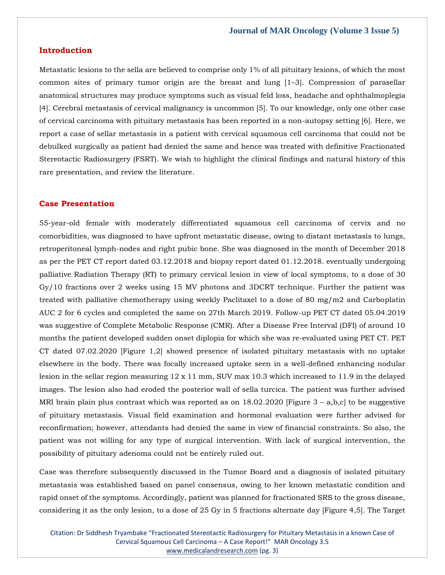### **Introduction**

Metastatic lesions to the sella are believed to comprise only 1% of all pituitary lesions, of which the most common sites of primary tumor origin are the breast and lung [1–3]. Compression of parasellar anatomical structures may produce symptoms such as visual feld loss, headache and ophthalmoplegia [4]. Cerebral metastasis of cervical malignancy is uncommon [5]. To our knowledge, only one other case of cervical carcinoma with pituitary metastasis has been reported in a non-autopsy setting [6]. Here, we report a case of sellar metastasis in a patient with cervical squamous cell carcinoma that could not be debulked surgically as patient had denied the same and hence was treated with definitive Fractionated Stereotactic Radiosurgery (FSRT). We wish to highlight the clinical findings and natural history of this rare presentation, and review the literature.

## **Case Presentation**

55-year-old female with moderately differentiated squamous cell carcinoma of cervix and no comorbidities, was diagnosed to have upfront metastatic disease, owing to distant metastasis to lungs, retroperitoneal lymph-nodes and right pubic bone. She was diagnosed in the month of December 2018 as per the PET CT report dated 03.12.2018 and biopsy report dated 01.12.2018. eventually undergoing palliative Radiation Therapy (RT) to primary cervical lesion in view of local symptoms, to a dose of 30 Gy/10 fractions over 2 weeks using 15 MV photons and 3DCRT technique. Further the patient was treated with palliative chemotherapy using weekly Paclitaxel to a dose of 80 mg/m2 and Carboplatin AUC 2 for 6 cycles and completed the same on 27th March 2019. Follow-up PET CT dated 05.04.2019 was suggestive of Complete Metabolic Response (CMR). After a Disease Free Interval (DFI) of around 10 months the patient developed sudden onset diplopia for which she was re-evaluated using PET CT. PET CT dated 07.02.2020 [Figure 1,2] showed presence of isolated pituitary metastasis with no uptake elsewhere in the body. There was focally increased uptake seen in a well-defined enhancing nodular lesion in the sellar region measuring 12 x 11 mm, SUV max 10.3 which increased to 11.9 in the delayed images. The lesion also had eroded the posterior wall of sella turcica. The patient was further advised MRI brain plain plus contrast which was reported as on  $18.02.2020$  [Figure 3 – a,b,c] to be suggestive of pituitary metastasis. Visual field examination and hormonal evaluation were further advised for reconfirmation; however, attendants had denied the same in view of financial constraints. So also, the patient was not willing for any type of surgical intervention. With lack of surgical intervention, the possibility of pituitary adenoma could not be entirely ruled out.

Case was therefore subsequently discussed in the Tumor Board and a diagnosis of isolated pituitary metastasis was established based on panel consensus, owing to her known metastatic condition and rapid onset of the symptoms. Accordingly, patient was planned for fractionated SRS to the gross disease, considering it as the only lesion, to a dose of 25 Gy in 5 fractions alternate day [Figure 4,5]. The Target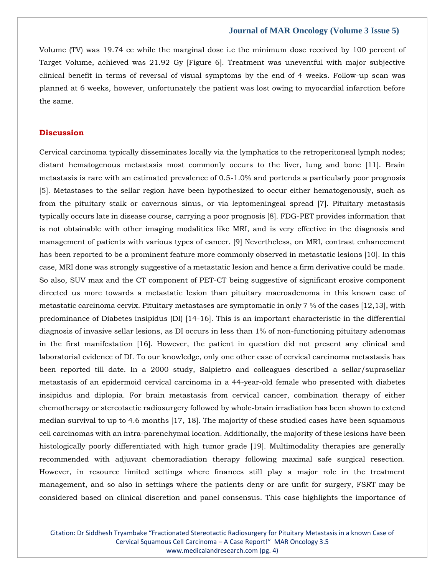Volume (TV) was 19.74 cc while the marginal dose i.e the minimum dose received by 100 percent of Target Volume, achieved was 21.92 Gy [Figure 6]. Treatment was uneventful with major subjective clinical benefit in terms of reversal of visual symptoms by the end of 4 weeks. Follow-up scan was planned at 6 weeks, however, unfortunately the patient was lost owing to myocardial infarction before the same.

## **Discussion**

Cervical carcinoma typically disseminates locally via the lymphatics to the retroperitoneal lymph nodes; distant hematogenous metastasis most commonly occurs to the liver, lung and bone [11]. Brain metastasis is rare with an estimated prevalence of 0.5-1.0% and portends a particularly poor prognosis [5]. Metastases to the sellar region have been hypothesized to occur either hematogenously, such as from the pituitary stalk or cavernous sinus, or via leptomeningeal spread [7]. Pituitary metastasis typically occurs late in disease course, carrying a poor prognosis [8]. FDG-PET provides information that is not obtainable with other imaging modalities like MRI, and is very effective in the diagnosis and management of patients with various types of cancer. [9] Nevertheless, on MRI, contrast enhancement has been reported to be a prominent feature more commonly observed in metastatic lesions [10]. In this case, MRI done was strongly suggestive of a metastatic lesion and hence a firm derivative could be made. So also, SUV max and the CT component of PET-CT being suggestive of significant erosive component directed us more towards a metastatic lesion than pituitary macroadenoma in this known case of metastatic carcinoma cervix. Pituitary metastases are symptomatic in only 7 % of the cases [12,13], with predominance of Diabetes insipidus (DI) [14-16]. This is an important characteristic in the differential diagnosis of invasive sellar lesions, as DI occurs in less than 1% of non-functioning pituitary adenomas in the first manifestation [16]. However, the patient in question did not present any clinical and laboratorial evidence of DI. To our knowledge, only one other case of cervical carcinoma metastasis has been reported till date. In a 2000 study, Salpietro and colleagues described a sellar/suprasellar metastasis of an epidermoid cervical carcinoma in a 44-year-old female who presented with diabetes insipidus and diplopia. For brain metastasis from cervical cancer, combination therapy of either chemotherapy or stereotactic radiosurgery followed by whole-brain irradiation has been shown to extend median survival to up to 4.6 months [17, 18]. The majority of these studied cases have been squamous cell carcinomas with an intra-parenchymal location. Additionally, the majority of these lesions have been histologically poorly differentiated with high tumor grade [19]. Multimodality therapies are generally recommended with adjuvant chemoradiation therapy following maximal safe surgical resection. However, in resource limited settings where finances still play a major role in the treatment management, and so also in settings where the patients deny or are unfit for surgery, FSRT may be considered based on clinical discretion and panel consensus. This case highlights the importance of

Citation: Dr Siddhesh Tryambake "Fractionated Stereotactic Radiosurgery for Pituitary Metastasis in a known Case of Cervical Squamous Cell Carcinoma – A Case Report!" MAR Oncology 3.5 [www.medicalandresearch.com](http://www.medicalandresearch.com/) (pg. 4)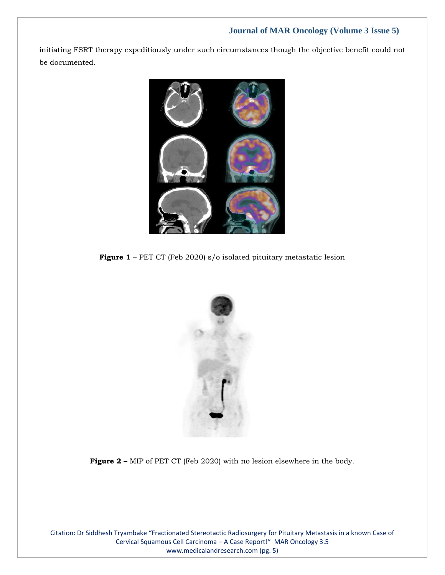initiating FSRT therapy expeditiously under such circumstances though the objective benefit could not be documented.



**Figure 1** – PET CT (Feb 2020) s/o isolated pituitary metastatic lesion



**Figure 2 –** MIP of PET CT (Feb 2020) with no lesion elsewhere in the body.

Citation: Dr Siddhesh Tryambake "Fractionated Stereotactic Radiosurgery for Pituitary Metastasis in a known Case of Cervical Squamous Cell Carcinoma – A Case Report!" MAR Oncology 3.5 [www.medicalandresearch.com](http://www.medicalandresearch.com/) (pg. 5)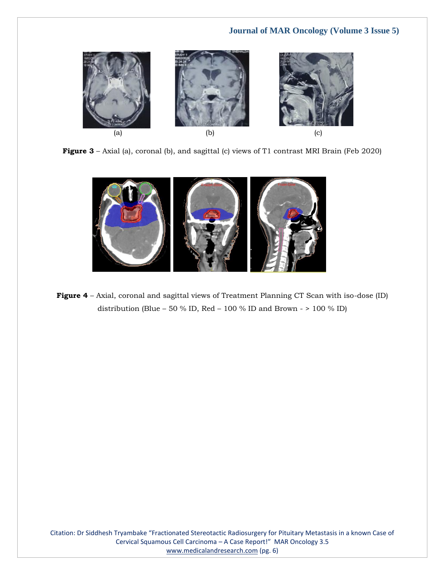





**Figure 4** – Axial, coronal and sagittal views of Treatment Planning CT Scan with iso-dose (ID) distribution (Blue – 50 % ID, Red – 100 % ID and Brown -  $> 100$  % ID)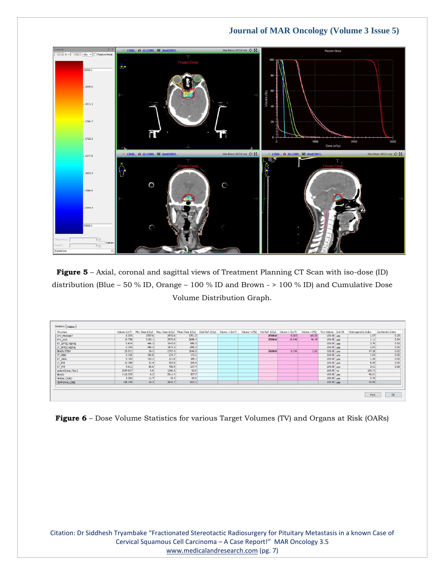

**Figure 5** – Axial, coronal and sagittal views of Treatment Planning CT Scan with iso-dose (ID) distribution (Blue – 50 % ID, Orange – 100 % ID and Brown - > 100 % ID) and Cumulative Dose Volume Distribution Graph.

| Structure           |          |        | Volume (cm <sup>3</sup> ) Min. Dose (cGy) Max. Dose (cGy) Mean Dose (cGy) Cold Ref. (cGy) Volume < (cm <sup>3</sup> ) |        |  |        | Volume $\lt (96)$ Hot Ref. (cGy) Volume $>(cm^3)$ | Volume $>$ (%) % in Volume Is in SS |              | Heterogeneity Index | Conformity Index |
|---------------------|----------|--------|-----------------------------------------------------------------------------------------------------------------------|--------|--|--------|---------------------------------------------------|-------------------------------------|--------------|---------------------|------------------|
| <b>GTV PRIMARY</b>  | 8.505    | 2557.0 | 2972.0                                                                                                                | 2701.3 |  | 2500.0 | 8.505                                             | 100.00                              | $100.00$ yes | 1.07                | 0.25             |
| PTV_25/5            | 19.738   | 2192.1 | 2972.0                                                                                                                | 2658.4 |  | 2500.0 | 19.046                                            | 96.49                               | $100.00$ yes | 1.11                | 0.84             |
| RT_OPTIC NERVE      | 0.634    | 466.3  | 1942.0                                                                                                                | 850.3  |  |        |                                                   |                                     | $100.00$ yes | 2.70                | 0.00             |
| LT_OPTIC NERVE      | 0.354    | 488.3  | 1872.4                                                                                                                | 859.2  |  |        |                                                   |                                     | $100.00$ yes | 2.92                | 0.00             |
| <b>BRAIN STEM</b>   | 25,911   | 34.5   | 2797.4                                                                                                                | 1046.9 |  | 2600.0 | 0.730                                             | 2.82                                | $100.00$ yes | 47.18               | 0.02             |
| LT_LENS             | 0.226    | 106.8  | 234.7                                                                                                                 | 173.2  |  |        |                                                   |                                     | $100.00$ ves | 1.84                | 0.00             |
| RT_LENS             | 0.185    | 153.2  | 221.0                                                                                                                 | 189.1  |  |        |                                                   |                                     | $100.00$ ves | 1.26                | 0.00             |
| LT_EYE              | 10.398   | 31.4   | 583.0                                                                                                                 | 269.4  |  |        |                                                   |                                     | $100.00$ yes | 8.00                | 0.00             |
| RT_EYE              | 9.611    | 85.6   | 706.9                                                                                                                 | 337.4  |  |        |                                                   |                                     | $100.00$ yes | 3.51                | 0.00             |
| patient(Unsp.Tiss.) | 3534,027 | 0.0    | 1366.5                                                                                                                | 53.6   |  |        |                                                   |                                     | $100.00$ no  | 105.71              |                  |
| BRAIN               | 1118.295 | 8.2    | 2911.4                                                                                                                | 307.7  |  |        |                                                   |                                     | $100.00$ yes | 96.01               |                  |
| SPINAL CORD         | 5.582    | 11.7   | 43,4                                                                                                                  | 22.0   |  |        |                                                   |                                     | $100.00$ yes | 2.42                |                  |
| TEMPORAL LOBE       | 158.349  | 18.2   | 2832.7                                                                                                                | 823.1  |  |        |                                                   |                                     | $100.00$ yes | 43.99               |                  |

**Figure 6** – Dose Volume Statistics for various Target Volumes (TV) and Organs at Risk (OARs)

Citation: Dr Siddhesh Tryambake "Fractionated Stereotactic Radiosurgery for Pituitary Metastasis in a known Case of Cervical Squamous Cell Carcinoma – A Case Report!" MAR Oncology 3.5 [www.medicalandresearch.com](http://www.medicalandresearch.com/) (pg. 7)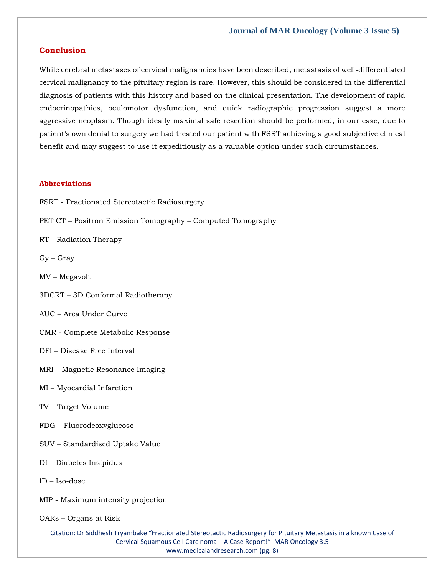## **Conclusion**

While cerebral metastases of cervical malignancies have been described, metastasis of well-differentiated cervical malignancy to the pituitary region is rare. However, this should be considered in the differential diagnosis of patients with this history and based on the clinical presentation. The development of rapid endocrinopathies, oculomotor dysfunction, and quick radiographic progression suggest a more aggressive neoplasm. Though ideally maximal safe resection should be performed, in our case, due to patient's own denial to surgery we had treated our patient with FSRT achieving a good subjective clinical benefit and may suggest to use it expeditiously as a valuable option under such circumstances.

#### **Abbreviations**

- FSRT Fractionated Stereotactic Radiosurgery
- PET CT Positron Emission Tomography Computed Tomography
- RT Radiation Therapy
- Gy Gray
- MV Megavolt
- 3DCRT 3D Conformal Radiotherapy
- AUC Area Under Curve
- CMR Complete Metabolic Response
- DFI Disease Free Interval
- MRI Magnetic Resonance Imaging
- MI Myocardial Infarction
- TV Target Volume
- FDG Fluorodeoxyglucose
- SUV Standardised Uptake Value
- DI Diabetes Insipidus
- ID Iso-dose
- MIP Maximum intensity projection
- OARs Organs at Risk

Citation: Dr Siddhesh Tryambake "Fractionated Stereotactic Radiosurgery for Pituitary Metastasis in a known Case of Cervical Squamous Cell Carcinoma – A Case Report!" MAR Oncology 3.5 [www.medicalandresearch.com](http://www.medicalandresearch.com/) (pg. 8)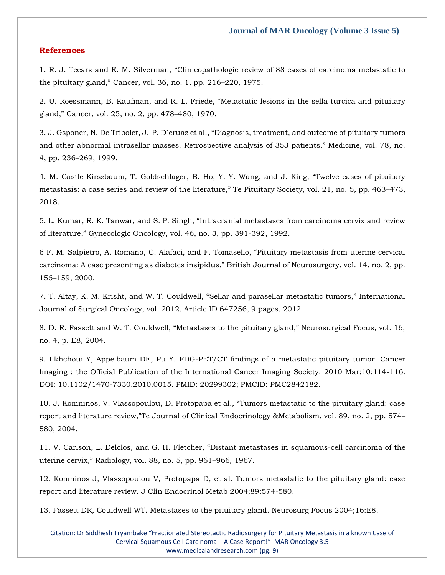## **References**

1. R. J. Teears and E. M. Silverman, "Cli[nicopathologic review of 88 cases of carcinoma metastatic to](https://www.google.com/search?q=Clinicopathologic+review+of+88+cases+of+carcinoma+metastatic+to+the+pituitary+gland%2C&sxsrf=APq-WBuMqiq_DYhu-Pkj3Q20VCEMt6iunA%3A1648469564924&ei=PKZBYu2FOLXWz7sP0dyJkAg&ved=0ahUKEwjtk9zW4-j2AhU163MBHVFuAoIQ4dUDCA4&oq=Clinicopathologic+review+of+88+cases+of+carcinoma+metastatic+to+the+pituitary+gland%2C&gs_lcp=Cgdnd3Mtd2l6EAw6BwgjEOoCECdKBAhBGABKBAhGGABQdlh2YPcJaAFwAHgAgAF3iAF3kgEDMC4xmAEAoAEBoAECsAEKwAEB&sclient=gws-wiz)  [the pituitary gland," Cancer, vol. 36, no. 1, pp. 216–](https://www.google.com/search?q=Clinicopathologic+review+of+88+cases+of+carcinoma+metastatic+to+the+pituitary+gland%2C&sxsrf=APq-WBuMqiq_DYhu-Pkj3Q20VCEMt6iunA%3A1648469564924&ei=PKZBYu2FOLXWz7sP0dyJkAg&ved=0ahUKEwjtk9zW4-j2AhU163MBHVFuAoIQ4dUDCA4&oq=Clinicopathologic+review+of+88+cases+of+carcinoma+metastatic+to+the+pituitary+gland%2C&gs_lcp=Cgdnd3Mtd2l6EAw6BwgjEOoCECdKBAhBGABKBAhGGABQdlh2YPcJaAFwAHgAgAF3iAF3kgEDMC4xmAEAoAEBoAECsAEKwAEB&sclient=gws-wiz)220, 1975.

[2. U. Roessmann, B. Kaufman, and R. L. Friede, "Metastatic lesions in the sella turcica and pituitary](https://www.google.com/search?q=Metastatic+lesions+in+the+sella+turcica+and+pituitary+gland%2C&sxsrf=APq-WBt19t9nL295sLDgU838t0mobWXP1Q%3A1648472300884&ei=7LBBYq_PNYCP4-EPm96ZiA0&ved=0ahUKEwiv9anv7ej2AhWAxzgGHRtvBtEQ4dUDCA4&oq=Metastatic+lesions+in+the+sella+turcica+and+pituitary+gland%2C&gs_lcp=Cgdnd3Mtd2l6EAwyBQgAEKIEMgUIABCiBDIFCAAQogQyBQgAEKIEOgcIIxDqAhAnSgQIQRgASgQIRhgAUDpYOmCKCmgBcAB4AIAB5wGIAecBkgEDMi0xmAEAoAEBoAECsAEKwAEB&sclient=gws-wiz)  [gland," Cancer, vol. 25, no. 2, pp. 478–](https://www.google.com/search?q=Metastatic+lesions+in+the+sella+turcica+and+pituitary+gland%2C&sxsrf=APq-WBt19t9nL295sLDgU838t0mobWXP1Q%3A1648472300884&ei=7LBBYq_PNYCP4-EPm96ZiA0&ved=0ahUKEwiv9anv7ej2AhWAxzgGHRtvBtEQ4dUDCA4&oq=Metastatic+lesions+in+the+sella+turcica+and+pituitary+gland%2C&gs_lcp=Cgdnd3Mtd2l6EAwyBQgAEKIEMgUIABCiBDIFCAAQogQyBQgAEKIEOgcIIxDqAhAnSgQIQRgASgQIRhgAUDpYOmCKCmgBcAB4AIAB5wGIAecBkgEDMi0xmAEAoAEBoAECsAEKwAEB&sclient=gws-wiz)480, 1970.

3. J. Gsponer, N. De Tribolet, J.-[P. D´eruaz et al., "Diagnosis, treatment, and outcome of pituitary tumors](https://www.google.com/search?q=Diagnosis%2C+treatment%2C+and+outcome+of+pituitary+tumors+and+other+abnormal+intrasellar+masses.+Retrospective+analysis+of+353+patients&sxsrf=APq-WBvtH9qKG2TeLG4mTiQx6dZt-_OKvA%3A1648472317868&ei=_bBBYqjFNIGd4-EP9vOY6A8&ved=0ahUKEwjot7b37ej2AhWBzjgGHfY5Bv0Q4dUDCA4&oq=Diagnosis%2C+treatment%2C+and+outcome+of+pituitary+tumors+and+other+abnormal+intrasellar+masses.+Retrospective+analysis+of+353+patients&gs_lcp=Cgdnd3Mtd2l6EAwyBwgjEOoCECcyBwgjEOoCECcyBwgjEOoCECcyBwgjEOoCECcyBwgjEOoCECcyBwgjEOoCECcyBwgjEOoCECcyBwgjEOoCECcyBwgjEOoCECcyBwgjEOoCECdKBAhBGABKBAhGGABQZ1hnYMsKaAFwAXgAgAEAiAEAkgEAmAEAoAEBoAECsAEKwAEB&sclient=gws-wiz)  an[d other abnormal intrasellar masses. Retrospective analysis of 353 patients," Medicine, vol. 78, no.](https://www.google.com/search?q=Diagnosis%2C+treatment%2C+and+outcome+of+pituitary+tumors+and+other+abnormal+intrasellar+masses.+Retrospective+analysis+of+353+patients&sxsrf=APq-WBvtH9qKG2TeLG4mTiQx6dZt-_OKvA%3A1648472317868&ei=_bBBYqjFNIGd4-EP9vOY6A8&ved=0ahUKEwjot7b37ej2AhWBzjgGHfY5Bv0Q4dUDCA4&oq=Diagnosis%2C+treatment%2C+and+outcome+of+pituitary+tumors+and+other+abnormal+intrasellar+masses.+Retrospective+analysis+of+353+patients&gs_lcp=Cgdnd3Mtd2l6EAwyBwgjEOoCECcyBwgjEOoCECcyBwgjEOoCECcyBwgjEOoCECcyBwgjEOoCECcyBwgjEOoCECcyBwgjEOoCECcyBwgjEOoCECcyBwgjEOoCECcyBwgjEOoCECdKBAhBGABKBAhGGABQZ1hnYMsKaAFwAXgAgAEAiAEAkgEAmAEAoAEBoAECsAEKwAEB&sclient=gws-wiz)  4, pp. 236–[269, 1999.](https://www.google.com/search?q=Diagnosis%2C+treatment%2C+and+outcome+of+pituitary+tumors+and+other+abnormal+intrasellar+masses.+Retrospective+analysis+of+353+patients&sxsrf=APq-WBvtH9qKG2TeLG4mTiQx6dZt-_OKvA%3A1648472317868&ei=_bBBYqjFNIGd4-EP9vOY6A8&ved=0ahUKEwjot7b37ej2AhWBzjgGHfY5Bv0Q4dUDCA4&oq=Diagnosis%2C+treatment%2C+and+outcome+of+pituitary+tumors+and+other+abnormal+intrasellar+masses.+Retrospective+analysis+of+353+patients&gs_lcp=Cgdnd3Mtd2l6EAwyBwgjEOoCECcyBwgjEOoCECcyBwgjEOoCECcyBwgjEOoCECcyBwgjEOoCECcyBwgjEOoCECcyBwgjEOoCECcyBwgjEOoCECcyBwgjEOoCECcyBwgjEOoCECdKBAhBGABKBAhGGABQZ1hnYMsKaAFwAXgAgAEAiAEAkgEAmAEAoAEBoAECsAEKwAEB&sclient=gws-wiz)

4. M. Castle-[Kirszbaum, T. Goldschlager, B. Ho, Y. Y. Wang, and J. King, "Twelve cases of pituitary](https://www.google.com/search?q=Twelve+cases+of+pituitary+metastasis%3A+a+case+series+and+review+of+the+literature&sxsrf=APq-WBvomYc9bGm93CKaIFmcsbRn_97w6g%3A1648472985390&ei=mbNBYvGtF6HDpgfU87TADA&ved=0ahUKEwix3ty18Oj2AhWhoekKHdQ5DcgQ4dUDCA4&oq=Twelve+cases+of+pituitary+metastasis%3A+a+case+series+and+review+of+the+literature&gs_lcp=Cgdnd3Mtd2l6EAw6BwgjEOoCECdKBAhBGABKBAhGGABQvANYvANglAhoAXAAeACAAWuIAWuSAQMwLjGYAQCgAQGgAQKwAQrAAQE&sclient=gws-wiz)  [metastasis: a case series and review of the literature," Te Pituitary Societ](https://www.google.com/search?q=Twelve+cases+of+pituitary+metastasis%3A+a+case+series+and+review+of+the+literature&sxsrf=APq-WBvomYc9bGm93CKaIFmcsbRn_97w6g%3A1648472985390&ei=mbNBYvGtF6HDpgfU87TADA&ved=0ahUKEwix3ty18Oj2AhWhoekKHdQ5DcgQ4dUDCA4&oq=Twelve+cases+of+pituitary+metastasis%3A+a+case+series+and+review+of+the+literature&gs_lcp=Cgdnd3Mtd2l6EAw6BwgjEOoCECdKBAhBGABKBAhGGABQvANYvANglAhoAXAAeACAAWuIAWuSAQMwLjGYAQCgAQGgAQKwAQrAAQE&sclient=gws-wiz)y, vol. 21, no. 5, pp. 463–473, [2018.](https://www.google.com/search?q=Twelve+cases+of+pituitary+metastasis%3A+a+case+series+and+review+of+the+literature&sxsrf=APq-WBvomYc9bGm93CKaIFmcsbRn_97w6g%3A1648472985390&ei=mbNBYvGtF6HDpgfU87TADA&ved=0ahUKEwix3ty18Oj2AhWhoekKHdQ5DcgQ4dUDCA4&oq=Twelve+cases+of+pituitary+metastasis%3A+a+case+series+and+review+of+the+literature&gs_lcp=Cgdnd3Mtd2l6EAw6BwgjEOoCECdKBAhBGABKBAhGGABQvANYvANglAhoAXAAeACAAWuIAWuSAQMwLjGYAQCgAQGgAQKwAQrAAQE&sclient=gws-wiz)

5. L. Kumar, R. K. Tanwar[, and S. P. Singh, "Intracranial metastases from carcinoma cervix and review](https://www.google.com/search?q=Intracranial+metastases+from+carcinoma+cervix+and+review+of+literature%2C&sxsrf=APq-WBtdh6S8UofnyICNKNMXprHsRgcvbQ%3A1648473005149&ei=rbNBYsLcCIOa4-EPnsSb8As&ved=0ahUKEwiC55K_8Oj2AhUDzTgGHR7iBr4Q4dUDCA4&oq=Intracranial+metastases+from+carcinoma+cervix+and+review+of+literature%2C&gs_lcp=Cgdnd3Mtd2l6EAw6BwgjEOoCECdKBAhBGABKBAhGGABQP1g_YP0HaAFwAHgAgAFsiAFskgEDMC4xmAEAoAEBoAECsAEKwAEB&sclient=gws-wiz)  [of literature," Gynecologic Oncology, vol. 46, no. 3, pp. 391](https://www.google.com/search?q=Intracranial+metastases+from+carcinoma+cervix+and+review+of+literature%2C&sxsrf=APq-WBtdh6S8UofnyICNKNMXprHsRgcvbQ%3A1648473005149&ei=rbNBYsLcCIOa4-EPnsSb8As&ved=0ahUKEwiC55K_8Oj2AhUDzTgGHR7iBr4Q4dUDCA4&oq=Intracranial+metastases+from+carcinoma+cervix+and+review+of+literature%2C&gs_lcp=Cgdnd3Mtd2l6EAw6BwgjEOoCECdKBAhBGABKBAhGGABQP1g_YP0HaAFwAHgAgAFsiAFskgEDMC4xmAEAoAEBoAECsAEKwAEB&sclient=gws-wiz)-392, 1992.

[6 F. M. Salpietro, A. Romano, C. Alafaci, and F. Tomasello, "Pituitary metastasis from uterine cervical](https://www.google.com/search?q=Pituitary+metastasis+from+uterine+cervical+carcinoma%3A+A+case+presenting+as+diabetes+insipidus&sxsrf=APq-WBtGN1-0ctvT8kXgqfavOl93LK5E0Q%3A1648473018776&ei=urNBYo7-Loia4-EP7uCMiAs&ved=0ahUKEwiOw9LF8Oj2AhUIzTgGHW4wA7EQ4dUDCA4&oq=Pituitary+metastasis+from+uterine+cervical+carcinoma%3A+A+case+presenting+as+diabetes+insipidus&gs_lcp=Cgdnd3Mtd2l6EAw6BwgjEOoCECdKBAhBGABKBAhGGABQtgFYtgFgiQZoAXAAeACAAVuIAVuSAQExmAEAoAEBoAECsAEKwAEB&sclient=gws-wiz)  carcinoma: A case pre[senting as diabetes insipidus," British Journal of Neurosurgery, vol. 14, no. 2, pp.](https://www.google.com/search?q=Pituitary+metastasis+from+uterine+cervical+carcinoma%3A+A+case+presenting+as+diabetes+insipidus&sxsrf=APq-WBtGN1-0ctvT8kXgqfavOl93LK5E0Q%3A1648473018776&ei=urNBYo7-Loia4-EP7uCMiAs&ved=0ahUKEwiOw9LF8Oj2AhUIzTgGHW4wA7EQ4dUDCA4&oq=Pituitary+metastasis+from+uterine+cervical+carcinoma%3A+A+case+presenting+as+diabetes+insipidus&gs_lcp=Cgdnd3Mtd2l6EAw6BwgjEOoCECdKBAhBGABKBAhGGABQtgFYtgFgiQZoAXAAeACAAVuIAVuSAQExmAEAoAEBoAECsAEKwAEB&sclient=gws-wiz)  156–[159, 2000.](https://www.google.com/search?q=Pituitary+metastasis+from+uterine+cervical+carcinoma%3A+A+case+presenting+as+diabetes+insipidus&sxsrf=APq-WBtGN1-0ctvT8kXgqfavOl93LK5E0Q%3A1648473018776&ei=urNBYo7-Loia4-EP7uCMiAs&ved=0ahUKEwiOw9LF8Oj2AhUIzTgGHW4wA7EQ4dUDCA4&oq=Pituitary+metastasis+from+uterine+cervical+carcinoma%3A+A+case+presenting+as+diabetes+insipidus&gs_lcp=Cgdnd3Mtd2l6EAw6BwgjEOoCECdKBAhBGABKBAhGGABQtgFYtgFgiQZoAXAAeACAAVuIAVuSAQExmAEAoAEBoAECsAEKwAEB&sclient=gws-wiz)

[7. T. Altay, K. M. Krisht, and W. T. Couldwell, "Sellar and parasellar metastatic tumors," International](https://www.google.com/search?q=Sellar+and+parasellar+metastatic+tumors&sxsrf=APq-WBs2rFaTQQPSTDXOZz9y2VQIPaMchA%3A1648473033034&ei=ybNBYsu-AcuW4-EP-LCpuAE&ved=0ahUKEwiLx7jM8Oj2AhVLyzgGHXhYChcQ4dUDCA4&oq=Sellar+and+parasellar+metastatic+tumors&gs_lcp=Cgdnd3Mtd2l6EAwyBQgAEKIEMgUIABCiBDIFCAAQogQyBQgAEKIEMgUIABCiBDoHCCMQ6gIQJ0oECEEYAEoECEYYAFA7WDtgsgVoAXAAeACAAegBiAHoAZIBAzItMZgBAKABAaABArABCsABAQ&sclient=gws-wiz)  [Journal of Surgical Oncology, vol. 2012, Article ID 647256, 9 pages, 2012.](https://www.google.com/search?q=Sellar+and+parasellar+metastatic+tumors&sxsrf=APq-WBs2rFaTQQPSTDXOZz9y2VQIPaMchA%3A1648473033034&ei=ybNBYsu-AcuW4-EP-LCpuAE&ved=0ahUKEwiLx7jM8Oj2AhVLyzgGHXhYChcQ4dUDCA4&oq=Sellar+and+parasellar+metastatic+tumors&gs_lcp=Cgdnd3Mtd2l6EAwyBQgAEKIEMgUIABCiBDIFCAAQogQyBQgAEKIEMgUIABCiBDoHCCMQ6gIQJ0oECEEYAEoECEYYAFA7WDtgsgVoAXAAeACAAegBiAHoAZIBAzItMZgBAKABAaABArABCsABAQ&sclient=gws-wiz)

[8. D. R. Fassett and W. T. Couldwell, "Metastases to the pituitary gland," Neurosurgical Focus, vol. 16,](https://www.google.com/search?q=Metastases+to+the+pituitary+gland&sxsrf=APq-WBttdX7DWt0L4hzdv2A5FfuKFTje5g%3A1648473046553&ei=1rNBYtCLIaO-4-EPxIuNyAc&ved=0ahUKEwjQzvHS8Oj2AhUj3zgGHcRFA3kQ4dUDCA4&oq=Metastases+to+the+pituitary+gland&gs_lcp=Cgdnd3Mtd2l6EAwyCAghEBYQHRAeMggIIRAWEB0QHjIICCEQFhAdEB4yCAghEBYQHRAeOgcIIxDqAhAnSgQIQRgASgQIRhgAUB5YHmCRBGgBcAB4AIABXogBXpIBATGYAQCgAQGgAQKwAQrAAQE&sclient=gws-wiz)  [no. 4, p. E8, 2004.](https://www.google.com/search?q=Metastases+to+the+pituitary+gland&sxsrf=APq-WBttdX7DWt0L4hzdv2A5FfuKFTje5g%3A1648473046553&ei=1rNBYtCLIaO-4-EPxIuNyAc&ved=0ahUKEwjQzvHS8Oj2AhUj3zgGHcRFA3kQ4dUDCA4&oq=Metastases+to+the+pituitary+gland&gs_lcp=Cgdnd3Mtd2l6EAwyCAghEBYQHRAeMggIIRAWEB0QHjIICCEQFhAdEB4yCAghEBYQHRAeOgcIIxDqAhAnSgQIQRgASgQIRhgAUB5YHmCRBGgBcAB4AIABXogBXpIBATGYAQCgAQGgAQKwAQrAAQE&sclient=gws-wiz)

[9. Ilkhchoui Y, Appelbaum DE, Pu Y. FDG-PET/CT findings of a metastatic pituitary tumor. Cancer](https://www.google.com/search?q=FDG-PET%2FCT+findings+of+a+metastatic+pituitary+tumor&sxsrf=APq-WBtog_0pjnyc-RiQEUFf9TbtGnEgog%3A1648473059525&ei=47NBYoDkH76b4-EPk9Gh6AM&ved=0ahUKEwjA4YnZ8Oj2AhW-zTgGHZNoCD0Q4dUDCA4&oq=FDG-PET%2FCT+findings+of+a+metastatic+pituitary+tumor&gs_lcp=Cgdnd3Mtd2l6EAwyBQghEKABMgUIIRCgAToHCCMQ6gIQJ0oECEEYAEoECEYYAFAfWB9g6AVoAXABeACAAdkBiAHZAZIBAzItMZgBAKABAaABArABCsABAQ&sclient=gws-wiz)  [Imaging : the Official Publication of the International Cancer Imaging Society. 2010 Mar;10:114-116.](https://www.google.com/search?q=FDG-PET%2FCT+findings+of+a+metastatic+pituitary+tumor&sxsrf=APq-WBtog_0pjnyc-RiQEUFf9TbtGnEgog%3A1648473059525&ei=47NBYoDkH76b4-EPk9Gh6AM&ved=0ahUKEwjA4YnZ8Oj2AhW-zTgGHZNoCD0Q4dUDCA4&oq=FDG-PET%2FCT+findings+of+a+metastatic+pituitary+tumor&gs_lcp=Cgdnd3Mtd2l6EAwyBQghEKABMgUIIRCgAToHCCMQ6gIQJ0oECEEYAEoECEYYAFAfWB9g6AVoAXABeACAAdkBiAHZAZIBAzItMZgBAKABAaABArABCsABAQ&sclient=gws-wiz)  [DOI: 10.1102/1470-7330.2010.0015. PMID: 20299302; PMCID: PMC2842182.](https://www.google.com/search?q=FDG-PET%2FCT+findings+of+a+metastatic+pituitary+tumor&sxsrf=APq-WBtog_0pjnyc-RiQEUFf9TbtGnEgog%3A1648473059525&ei=47NBYoDkH76b4-EPk9Gh6AM&ved=0ahUKEwjA4YnZ8Oj2AhW-zTgGHZNoCD0Q4dUDCA4&oq=FDG-PET%2FCT+findings+of+a+metastatic+pituitary+tumor&gs_lcp=Cgdnd3Mtd2l6EAwyBQghEKABMgUIIRCgAToHCCMQ6gIQJ0oECEEYAEoECEYYAFAfWB9g6AVoAXABeACAAdkBiAHZAZIBAzItMZgBAKABAaABArABCsABAQ&sclient=gws-wiz)

[10. J. Komninos, V. Vlassopoulou, D. Protopapa et al., "Tumors metastatic to the pituitary gland: case](https://www.google.com/search?q=Tumors+metastatic+to+the+pituitary+gland%3A+case+report+and+literature+review%2C&sxsrf=APq-WBvMpaSaKP7iKe3YjzZqSvac3eydgA%3A1648473075414&ei=87NBYuz4GLCW4-EPiZeuuAM&ved=0ahUKEwisvtPg8Oj2AhUwyzgGHYmLCzcQ4dUDCA4&oq=Tumors+metastatic+to+the+pituitary+gland%3A+case+report+and+literature+review%2C&gs_lcp=Cgdnd3Mtd2l6EAwyBAgAEB46BwgjEOoCECdKBAhBGABKBAhGGABQF1gXYPwHaAFwAXgAgAFgiAFgkgEBMZgBAKABAaABArABCsABAQ&sclient=gws-wiz)  report and literature review,"Te Jour[nal of Clinical Endocrinology &Metabolism, vol. 89, no. 2, pp. 574](https://www.google.com/search?q=Tumors+metastatic+to+the+pituitary+gland%3A+case+report+and+literature+review%2C&sxsrf=APq-WBvMpaSaKP7iKe3YjzZqSvac3eydgA%3A1648473075414&ei=87NBYuz4GLCW4-EPiZeuuAM&ved=0ahUKEwisvtPg8Oj2AhUwyzgGHYmLCzcQ4dUDCA4&oq=Tumors+metastatic+to+the+pituitary+gland%3A+case+report+and+literature+review%2C&gs_lcp=Cgdnd3Mtd2l6EAwyBAgAEB46BwgjEOoCECdKBAhBGABKBAhGGABQF1gXYPwHaAFwAXgAgAFgiAFgkgEBMZgBAKABAaABArABCsABAQ&sclient=gws-wiz)– [580, 2004.](https://www.google.com/search?q=Tumors+metastatic+to+the+pituitary+gland%3A+case+report+and+literature+review%2C&sxsrf=APq-WBvMpaSaKP7iKe3YjzZqSvac3eydgA%3A1648473075414&ei=87NBYuz4GLCW4-EPiZeuuAM&ved=0ahUKEwisvtPg8Oj2AhUwyzgGHYmLCzcQ4dUDCA4&oq=Tumors+metastatic+to+the+pituitary+gland%3A+case+report+and+literature+review%2C&gs_lcp=Cgdnd3Mtd2l6EAwyBAgAEB46BwgjEOoCECdKBAhBGABKBAhGGABQF1gXYPwHaAFwAXgAgAFgiAFgkgEBMZgBAKABAaABArABCsABAQ&sclient=gws-wiz)

[11. V. Carlson, L. Delclos, and G. H. Fletcher, "Distant metastases in s](https://www.google.com/search?q=Distant+metastases+in+squamous-cell+carcinoma+of+the+uterine+cervix%2C&sxsrf=APq-WBs_dMQvoutUyvf4wqnIGL0KHhqLWg%3A1648473088767&ei=ALRBYrevLvKd4-EP-N2nyAY&ved=0ahUKEwi3r4Ln8Oj2AhXyzjgGHfjuCWkQ4dUDCA4&oq=Distant+metastases+in+squamous-cell+carcinoma+of+the+uterine+cervix%2C&gs_lcp=Cgdnd3Mtd2l6EAw6BwgjEOoCECdKBAhBGABKBAhGGABQH1gfYM0GaAFwAXgAgAFtiAFtkgEDMC4xmAEAoAEBoAECsAEKwAEB&sclient=gws-wiz)quamous-cell carcinoma of the [uterine cervix," Radiology, vol. 88, no. 5, pp. 961–](https://www.google.com/search?q=Distant+metastases+in+squamous-cell+carcinoma+of+the+uterine+cervix%2C&sxsrf=APq-WBs_dMQvoutUyvf4wqnIGL0KHhqLWg%3A1648473088767&ei=ALRBYrevLvKd4-EP-N2nyAY&ved=0ahUKEwi3r4Ln8Oj2AhXyzjgGHfjuCWkQ4dUDCA4&oq=Distant+metastases+in+squamous-cell+carcinoma+of+the+uterine+cervix%2C&gs_lcp=Cgdnd3Mtd2l6EAw6BwgjEOoCECdKBAhBGABKBAhGGABQH1gfYM0GaAFwAXgAgAFtiAFtkgEDMC4xmAEAoAEBoAECsAEKwAEB&sclient=gws-wiz)966, 1967.

[12. Komninos J, Vlassopoulou V, Protopapa D, et al. Tumors metastatic to the pituitary gland: case](https://www.google.com/search?q=Tumors+metastatic+to+the+pituitary+gland%3A+case+report+and+literature+review&sxsrf=APq-WBvQURdF4mrD2mfdGpUNX1t-rJUP3A%3A1648473377115&ei=IbVBYsTMBr7H4-EPkraogAQ&ved=0ahUKEwiE4cHw8ej2AhW-4zgGHRIbCkAQ4dUDCA4&oq=Tumors+metastatic+to+the+pituitary+gland%3A+case+report+and+literature+review&gs_lcp=Cgdnd3Mtd2l6EAwyBAgjECcyBAgAEB46BwgjEOoCECdKBAhBGABKBAhGGABQFlgWYO8DaAFwAHgAgAFdiAFdkgEBMZgBAKABAaABArABCsABAQ&sclient=gws-wiz)  [report and literature review. J Clin Endocrinol Metab 2004;89:574-580.](https://www.google.com/search?q=Tumors+metastatic+to+the+pituitary+gland%3A+case+report+and+literature+review&sxsrf=APq-WBvQURdF4mrD2mfdGpUNX1t-rJUP3A%3A1648473377115&ei=IbVBYsTMBr7H4-EPkraogAQ&ved=0ahUKEwiE4cHw8ej2AhW-4zgGHRIbCkAQ4dUDCA4&oq=Tumors+metastatic+to+the+pituitary+gland%3A+case+report+and+literature+review&gs_lcp=Cgdnd3Mtd2l6EAwyBAgjECcyBAgAEB46BwgjEOoCECdKBAhBGABKBAhGGABQFlgWYO8DaAFwAHgAgAFdiAFdkgEBMZgBAKABAaABArABCsABAQ&sclient=gws-wiz)

[13. Fassett DR, Couldwell WT. Metastases to the pituitary gland. Neurosurg Focus 2004;16:E8.](https://www.google.com/search?q=Metastases+to+the+pituitary+gland&sxsrf=APq-WBuKEJk6D9qheb0hFEEiIErk5LvOdQ%3A1648473389287&ei=LbVBYrrdENSd4-EP6KO8uAQ&ved=0ahUKEwj6p6j28ej2AhXUzjgGHegRD0cQ4dUDCA4&oq=Metastases+to+the+pituitary+gland&gs_lcp=Cgdnd3Mtd2l6EAwyBAgjECc6BwgjEOoCECdKBAhBGABKBAhGGABQPFg8YJIHaAFwAXgAgAFaiAFakgEBMZgBAKABAaABArABCsABAQ&sclient=gws-wiz)